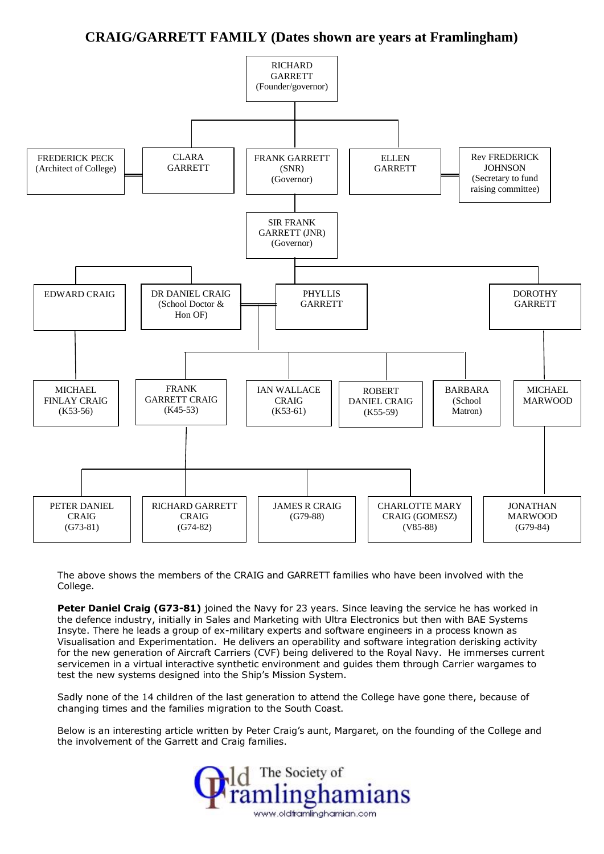# **CRAIG/GARRETT FAMILY (Dates shown are years at Framlingham)**



The above shows the members of the CRAIG and GARRETT families who have been involved with the College.

**Peter Daniel Craig (G73-81)** joined the Navy for 23 years. Since leaving the service he has worked in the defence industry, initially in Sales and Marketing with Ultra Electronics but then with BAE Systems Insyte. There he leads a group of ex-military experts and software engineers in a process known as Visualisation and Experimentation. He delivers an operability and software integration derisking activity for the new generation of Aircraft Carriers (CVF) being delivered to the Royal Navy. He immerses current servicemen in a virtual interactive synthetic environment and guides them through Carrier wargames to test the new systems designed into the Ship's Mission System.

Sadly none of the 14 children of the last generation to attend the College have gone there, because of changing times and the families migration to the South Coast.

Below is an interesting article written by Peter Craig's aunt, Margaret, on the founding of the College and the involvement of the Garrett and Craig families.

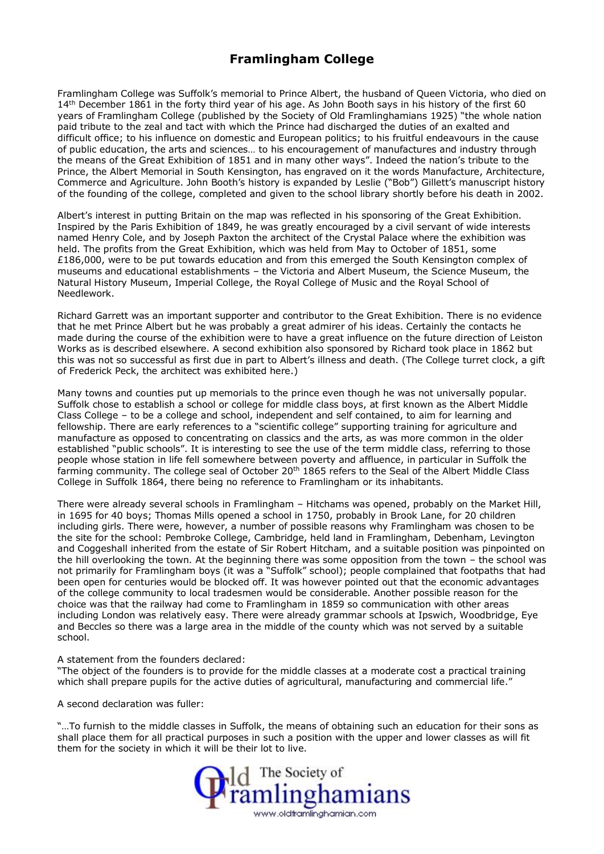# **Framlingham College**

Framlingham College was Suffolk's memorial to Prince Albert, the husband of Queen Victoria, who died on 14<sup>th</sup> December 1861 in the forty third year of his age. As John Booth says in his history of the first 60 years of Framlingham College (published by the Society of Old Framlinghamians 1925) "the whole nation paid tribute to the zeal and tact with which the Prince had discharged the duties of an exalted and difficult office; to his influence on domestic and European politics; to his fruitful endeavours in the cause of public education, the arts and sciences… to his encouragement of manufactures and industry through the means of the Great Exhibition of 1851 and in many other ways". Indeed the nation's tribute to the Prince, the Albert Memorial in South Kensington, has engraved on it the words Manufacture, Architecture, Commerce and Agriculture. John Booth's history is expanded by Leslie ("Bob") Gillett's manuscript history of the founding of the college, completed and given to the school library shortly before his death in 2002.

Albert's interest in putting Britain on the map was reflected in his sponsoring of the Great Exhibition. Inspired by the Paris Exhibition of 1849, he was greatly encouraged by a civil servant of wide interests named Henry Cole, and by Joseph Paxton the architect of the Crystal Palace where the exhibition was held. The profits from the Great Exhibition, which was held from May to October of 1851, some £186,000, were to be put towards education and from this emerged the South Kensington complex of museums and educational establishments – the Victoria and Albert Museum, the Science Museum, the Natural History Museum, Imperial College, the Royal College of Music and the Royal School of Needlework.

Richard Garrett was an important supporter and contributor to the Great Exhibition. There is no evidence that he met Prince Albert but he was probably a great admirer of his ideas. Certainly the contacts he made during the course of the exhibition were to have a great influence on the future direction of Leiston Works as is described elsewhere. A second exhibition also sponsored by Richard took place in 1862 but this was not so successful as first due in part to Albert's illness and death. (The College turret clock, a gift of Frederick Peck, the architect was exhibited here.)

Many towns and counties put up memorials to the prince even though he was not universally popular. Suffolk chose to establish a school or college for middle class boys, at first known as the Albert Middle Class College – to be a college and school, independent and self contained, to aim for learning and fellowship. There are early references to a "scientific college" supporting training for agriculture and manufacture as opposed to concentrating on classics and the arts, as was more common in the older established "public schools". It is interesting to see the use of the term middle class, referring to those people whose station in life fell somewhere between poverty and affluence, in particular in Suffolk the farming community. The college seal of October 20<sup>th</sup> 1865 refers to the Seal of the Albert Middle Class College in Suffolk 1864, there being no reference to Framlingham or its inhabitants.

There were already several schools in Framlingham – Hitchams was opened, probably on the Market Hill, in 1695 for 40 boys; Thomas Mills opened a school in 1750, probably in Brook Lane, for 20 children including girls. There were, however, a number of possible reasons why Framlingham was chosen to be the site for the school: Pembroke College, Cambridge, held land in Framlingham, Debenham, Levington and Coggeshall inherited from the estate of Sir Robert Hitcham, and a suitable position was pinpointed on the hill overlooking the town. At the beginning there was some opposition from the town – the school was not primarily for Framlingham boys (it was a "Suffolk" school); people complained that footpaths that had been open for centuries would be blocked off. It was however pointed out that the economic advantages of the college community to local tradesmen would be considerable. Another possible reason for the choice was that the railway had come to Framlingham in 1859 so communication with other areas including London was relatively easy. There were already grammar schools at Ipswich, Woodbridge, Eye and Beccles so there was a large area in the middle of the county which was not served by a suitable school.

#### A statement from the founders declared:

"The object of the founders is to provide for the middle classes at a moderate cost a practical training which shall prepare pupils for the active duties of agricultural, manufacturing and commercial life."

A second declaration was fuller:

"…To furnish to the middle classes in Suffolk, the means of obtaining such an education for their sons as shall place them for all practical purposes in such a position with the upper and lower classes as will fit them for the society in which it will be their lot to live.

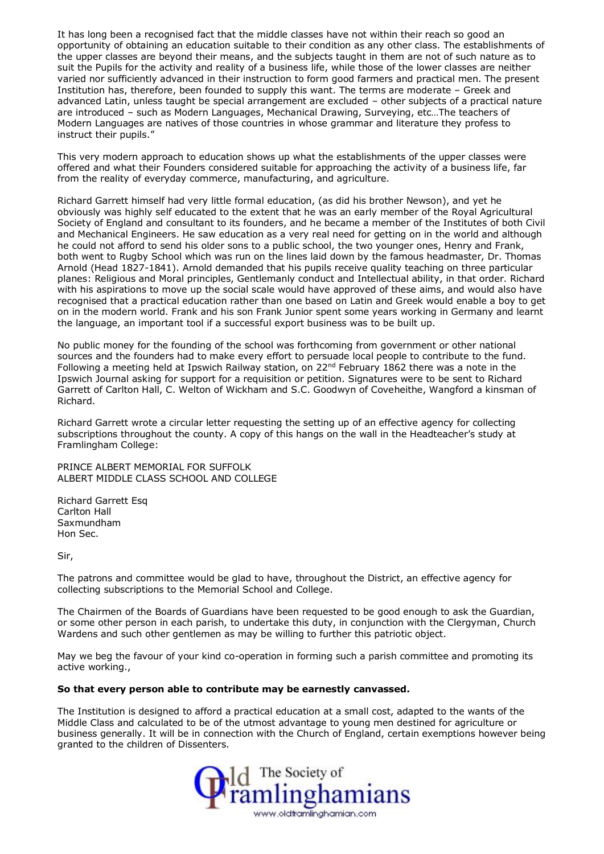It has long been a recognised fact that the middle classes have not within their reach so good an opportunity of obtaining an education suitable to their condition as any other class. The establishments of the upper classes are beyond their means, and the subjects taught in them are not of such nature as to suit the Pupils for the activity and reality of a business life, while those of the lower classes are neither varied nor sufficiently advanced in their instruction to form good farmers and practical men. The present Institution has, therefore, been founded to supply this want. The terms are moderate – Greek and advanced Latin, unless taught be special arrangement are excluded – other subjects of a practical nature are introduced – such as Modern Languages, Mechanical Drawing, Surveying, etc…The teachers of Modern Languages are natives of those countries in whose grammar and literature they profess to instruct their pupils."

This very modern approach to education shows up what the establishments of the upper classes were offered and what their Founders considered suitable for approaching the activity of a business life, far from the reality of everyday commerce, manufacturing, and agriculture.

Richard Garrett himself had very little formal education, (as did his brother Newson), and yet he obviously was highly self educated to the extent that he was an early member of the Royal Agricultural Society of England and consultant to its founders, and he became a member of the Institutes of both Civil and Mechanical Engineers. He saw education as a very real need for getting on in the world and although he could not afford to send his older sons to a public school, the two younger ones, Henry and Frank, both went to Rugby School which was run on the lines laid down by the famous headmaster, Dr. Thomas Arnold (Head 1827-1841). Arnold demanded that his pupils receive quality teaching on three particular planes: Religious and Moral principles, Gentlemanly conduct and Intellectual ability, in that order. Richard with his aspirations to move up the social scale would have approved of these aims, and would also have recognised that a practical education rather than one based on Latin and Greek would enable a boy to get on in the modern world. Frank and his son Frank Junior spent some years working in Germany and learnt the language, an important tool if a successful export business was to be built up.

No public money for the founding of the school was forthcoming from government or other national sources and the founders had to make every effort to persuade local people to contribute to the fund. Following a meeting held at Ipswich Railway station, on 22<sup>nd</sup> February 1862 there was a note in the Ipswich Journal asking for support for a requisition or petition. Signatures were to be sent to Richard Garrett of Carlton Hall, C. Welton of Wickham and S.C. Goodwyn of Coveheithe, Wangford a kinsman of Richard.

Richard Garrett wrote a circular letter requesting the setting up of an effective agency for collecting subscriptions throughout the county. A copy of this hangs on the wall in the Headteacher's study at Framlingham College:

PRINCE ALBERT MEMORIAL FOR SUFFOLK ALBERT MIDDLE CLASS SCHOOL AND COLLEGE

Richard Garrett Esq Carlton Hall Saxmundham Hon Sec.

Sir,

The patrons and committee would be glad to have, throughout the District, an effective agency for collecting subscriptions to the Memorial School and College.

The Chairmen of the Boards of Guardians have been requested to be good enough to ask the Guardian, or some other person in each parish, to undertake this duty, in conjunction with the Clergyman, Church Wardens and such other gentlemen as may be willing to further this patriotic object.

May we beg the favour of your kind co-operation in forming such a parish committee and promoting its active working.,

### **So that every person able to contribute may be earnestly canvassed.**

The Institution is designed to afford a practical education at a small cost, adapted to the wants of the Middle Class and calculated to be of the utmost advantage to young men destined for agriculture or business generally. It will be in connection with the Church of England, certain exemptions however being granted to the children of Dissenters.

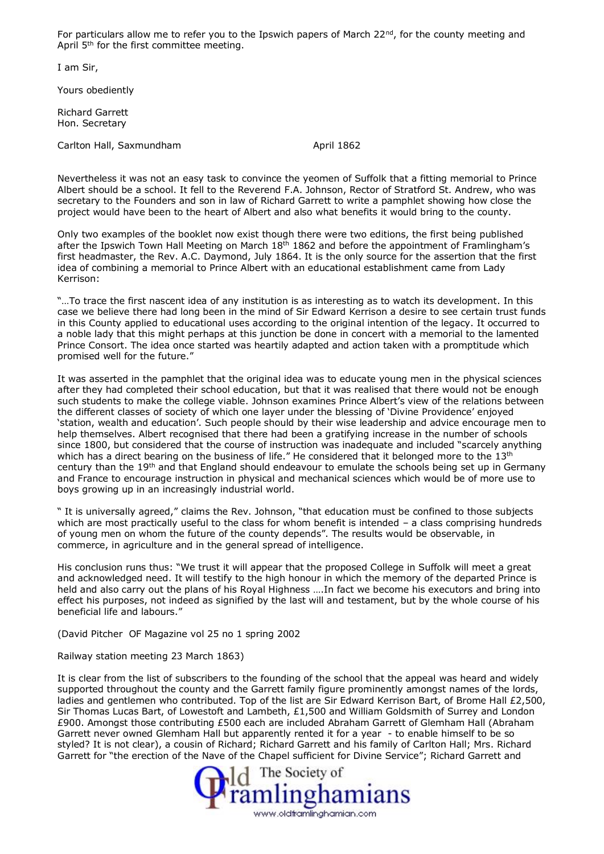For particulars allow me to refer you to the Ipswich papers of March  $22^{nd}$ , for the county meeting and April 5<sup>th</sup> for the first committee meeting.

I am Sir,

Yours obediently

Richard Garrett Hon. Secretary

Carlton Hall, Saxmundham April 1862

Nevertheless it was not an easy task to convince the yeomen of Suffolk that a fitting memorial to Prince Albert should be a school. It fell to the Reverend F.A. Johnson, Rector of Stratford St. Andrew, who was secretary to the Founders and son in law of Richard Garrett to write a pamphlet showing how close the project would have been to the heart of Albert and also what benefits it would bring to the county.

Only two examples of the booklet now exist though there were two editions, the first being published after the Ipswich Town Hall Meeting on March  $18<sup>th</sup> 1862$  and before the appointment of Framlingham's first headmaster, the Rev. A.C. Daymond, July 1864. It is the only source for the assertion that the first idea of combining a memorial to Prince Albert with an educational establishment came from Lady Kerrison:

"…To trace the first nascent idea of any institution is as interesting as to watch its development. In this case we believe there had long been in the mind of Sir Edward Kerrison a desire to see certain trust funds in this County applied to educational uses according to the original intention of the legacy. It occurred to a noble lady that this might perhaps at this junction be done in concert with a memorial to the lamented Prince Consort. The idea once started was heartily adapted and action taken with a promptitude which promised well for the future."

It was asserted in the pamphlet that the original idea was to educate young men in the physical sciences after they had completed their school education, but that it was realised that there would not be enough such students to make the college viable. Johnson examines Prince Albert's view of the relations between the different classes of society of which one layer under the blessing of 'Divine Providence' enjoyed 'station, wealth and education'. Such people should by their wise leadership and advice encourage men to help themselves. Albert recognised that there had been a gratifying increase in the number of schools since 1800, but considered that the course of instruction was inadequate and included "scarcely anything which has a direct bearing on the business of life." He considered that it belonged more to the 13<sup>th</sup> century than the 19th and that England should endeavour to emulate the schools being set up in Germany and France to encourage instruction in physical and mechanical sciences which would be of more use to boys growing up in an increasingly industrial world.

" It is universally agreed," claims the Rev. Johnson, "that education must be confined to those subjects which are most practically useful to the class for whom benefit is intended - a class comprising hundreds of young men on whom the future of the county depends". The results would be observable, in commerce, in agriculture and in the general spread of intelligence.

His conclusion runs thus: "We trust it will appear that the proposed College in Suffolk will meet a great and acknowledged need. It will testify to the high honour in which the memory of the departed Prince is held and also carry out the plans of his Royal Highness ....In fact we become his executors and bring into effect his purposes, not indeed as signified by the last will and testament, but by the whole course of his beneficial life and labours."

(David Pitcher OF Magazine vol 25 no 1 spring 2002

Railway station meeting 23 March 1863)

It is clear from the list of subscribers to the founding of the school that the appeal was heard and widely supported throughout the county and the Garrett family figure prominently amongst names of the lords, ladies and gentlemen who contributed. Top of the list are Sir Edward Kerrison Bart, of Brome Hall £2,500, Sir Thomas Lucas Bart, of Lowestoft and Lambeth, £1,500 and William Goldsmith of Surrey and London £900. Amongst those contributing £500 each are included Abraham Garrett of Glemham Hall (Abraham Garrett never owned Glemham Hall but apparently rented it for a year - to enable himself to be so styled? It is not clear), a cousin of Richard; Richard Garrett and his family of Carlton Hall; Mrs. Richard

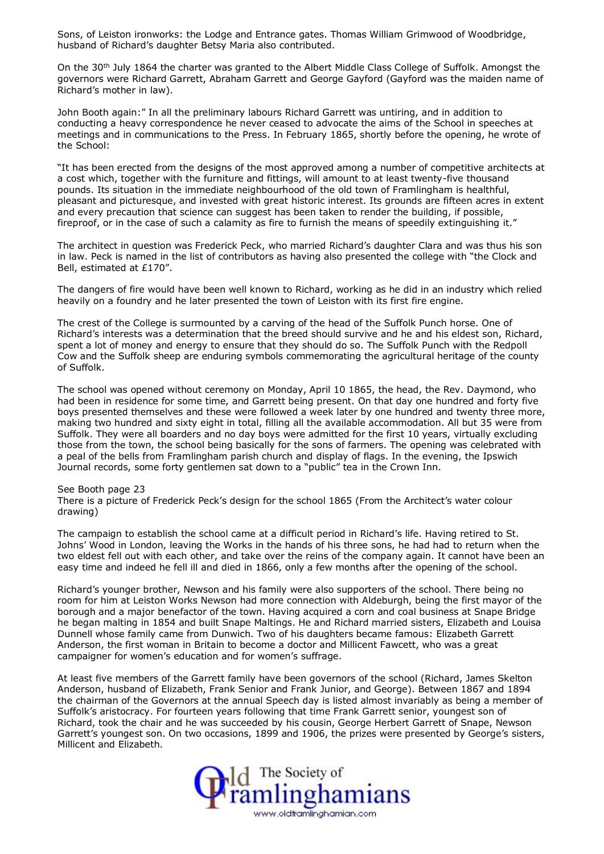Sons, of Leiston ironworks: the Lodge and Entrance gates. Thomas William Grimwood of Woodbridge, husband of Richard's daughter Betsy Maria also contributed.

On the 30<sup>th</sup> July 1864 the charter was granted to the Albert Middle Class College of Suffolk. Amongst the governors were Richard Garrett, Abraham Garrett and George Gayford (Gayford was the maiden name of Richard's mother in law).

John Booth again:" In all the preliminary labours Richard Garrett was untiring, and in addition to conducting a heavy correspondence he never ceased to advocate the aims of the School in speeches at meetings and in communications to the Press. In February 1865, shortly before the opening, he wrote of the School:

"It has been erected from the designs of the most approved among a number of competitive architects at a cost which, together with the furniture and fittings, will amount to at least twenty-five thousand pounds. Its situation in the immediate neighbourhood of the old town of Framlingham is healthful, pleasant and picturesque, and invested with great historic interest. Its grounds are fifteen acres in extent and every precaution that science can suggest has been taken to render the building, if possible, fireproof, or in the case of such a calamity as fire to furnish the means of speedily extinguishing it."

The architect in question was Frederick Peck, who married Richard's daughter Clara and was thus his son in law. Peck is named in the list of contributors as having also presented the college with "the Clock and Bell, estimated at £170".

The dangers of fire would have been well known to Richard, working as he did in an industry which relied heavily on a foundry and he later presented the town of Leiston with its first fire engine.

The crest of the College is surmounted by a carving of the head of the Suffolk Punch horse. One of Richard's interests was a determination that the breed should survive and he and his eldest son, Richard, spent a lot of money and energy to ensure that they should do so. The Suffolk Punch with the Redpoll Cow and the Suffolk sheep are enduring symbols commemorating the agricultural heritage of the county of Suffolk.

The school was opened without ceremony on Monday, April 10 1865, the head, the Rev. Daymond, who had been in residence for some time, and Garrett being present. On that day one hundred and forty five boys presented themselves and these were followed a week later by one hundred and twenty three more, making two hundred and sixty eight in total, filling all the available accommodation. All but 35 were from Suffolk. They were all boarders and no day boys were admitted for the first 10 years, virtually excluding those from the town, the school being basically for the sons of farmers. The opening was celebrated with a peal of the bells from Framlingham parish church and display of flags. In the evening, the Ipswich Journal records, some forty gentlemen sat down to a "public" tea in the Crown Inn.

### See Booth page 23

There is a picture of Frederick Peck's design for the school 1865 (From the Architect's water colour drawing)

The campaign to establish the school came at a difficult period in Richard's life. Having retired to St. Johns' Wood in London, leaving the Works in the hands of his three sons, he had had to return when the two eldest fell out with each other, and take over the reins of the company again. It cannot have been an easy time and indeed he fell ill and died in 1866, only a few months after the opening of the school.

Richard's younger brother, Newson and his family were also supporters of the school. There being no room for him at Leiston Works Newson had more connection with Aldeburgh, being the first mayor of the borough and a major benefactor of the town. Having acquired a corn and coal business at Snape Bridge he began malting in 1854 and built Snape Maltings. He and Richard married sisters, Elizabeth and Louisa Dunnell whose family came from Dunwich. Two of his daughters became famous: Elizabeth Garrett Anderson, the first woman in Britain to become a doctor and Millicent Fawcett, who was a great campaigner for women's education and for women's suffrage.

At least five members of the Garrett family have been governors of the school (Richard, James Skelton Anderson, husband of Elizabeth, Frank Senior and Frank Junior, and George). Between 1867 and 1894 the chairman of the Governors at the annual Speech day is listed almost invariably as being a member of Suffolk's aristocracy. For fourteen years following that time Frank Garrett senior, youngest son of Richard, took the chair and he was succeeded by his cousin, George Herbert Garrett of Snape, Newson Garrett's youngest son. On two occasions, 1899 and 1906, the prizes were presented by George's sisters, Millicent and Elizabeth.